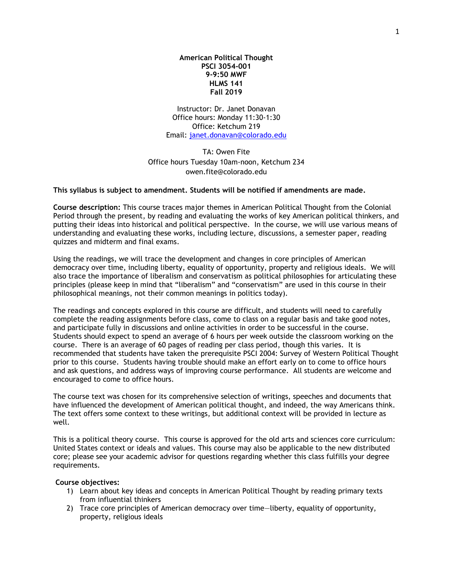**American Political Thought PSCI 3054-001 9-9:50 MWF HLMS 141 Fall 2019**

Instructor: Dr. Janet Donavan Office hours: Monday 11:30-1:30 Office: Ketchum 219 Email: [janet.donavan@colorado.edu](mailto:janet.donavan@colorado.edu)

TA: Owen Fite Office hours Tuesday 10am-noon, Ketchum 234 owen.fite@colorado.edu

### **This syllabus is subject to amendment. Students will be notified if amendments are made.**

**Course description:** This course traces major themes in American Political Thought from the Colonial Period through the present, by reading and evaluating the works of key American political thinkers, and putting their ideas into historical and political perspective. In the course, we will use various means of understanding and evaluating these works, including lecture, discussions, a semester paper, reading quizzes and midterm and final exams.

Using the readings, we will trace the development and changes in core principles of American democracy over time, including liberty, equality of opportunity, property and religious ideals. We will also trace the importance of liberalism and conservatism as political philosophies for articulating these principles (please keep in mind that "liberalism" and "conservatism" are used in this course in their philosophical meanings, not their common meanings in politics today).

The readings and concepts explored in this course are difficult, and students will need to carefully complete the reading assignments before class, come to class on a regular basis and take good notes, and participate fully in discussions and online activities in order to be successful in the course. Students should expect to spend an average of 6 hours per week outside the classroom working on the course. There is an average of 60 pages of reading per class period, though this varies. It is recommended that students have taken the prerequisite PSCI 2004: Survey of Western Political Thought prior to this course. Students having trouble should make an effort early on to come to office hours and ask questions, and address ways of improving course performance. All students are welcome and encouraged to come to office hours.

The course text was chosen for its comprehensive selection of writings, speeches and documents that have influenced the development of American political thought, and indeed, the way Americans think. The text offers some context to these writings, but additional context will be provided in lecture as well.

This is a political theory course. This course is approved for the old arts and sciences core curriculum: United States context or ideals and values. This course may also be applicable to the new distributed core; please see your academic advisor for questions regarding whether this class fulfills your degree requirements.

### **Course objectives:**

- 1) Learn about key ideas and concepts in American Political Thought by reading primary texts from influential thinkers
- 2) Trace core principles of American democracy over time—liberty, equality of opportunity, property, religious ideals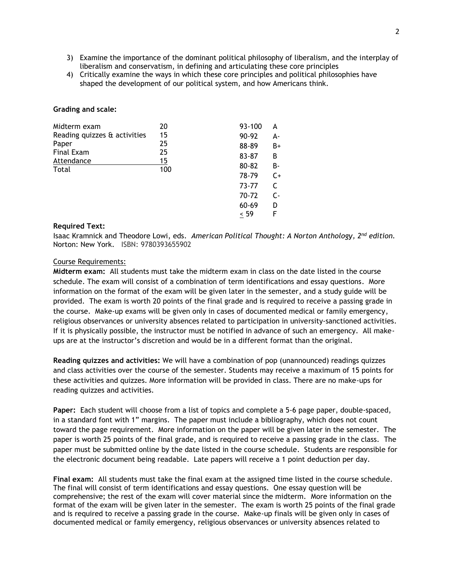- 3) Examine the importance of the dominant political philosophy of liberalism, and the interplay of liberalism and conservatism, in defining and articulating these core principles
- 4) Critically examine the ways in which these core principles and political philosophies have shaped the development of our political system, and how Americans think.

## **Grading and scale:**

| Midterm exam                 | 20  |       | 93-100 | A     |
|------------------------------|-----|-------|--------|-------|
| Reading quizzes & activities | 15  |       | 90-92  | А-    |
| Paper                        | 25  |       | 88-89  | B+    |
| Final Exam                   | 25  |       | 83-87  | B     |
| Attendance                   | 15  | 80-82 | B-     |       |
| Total                        | 100 |       | 78-79  | $C+$  |
|                              |     |       | 73-77  | C     |
|                              |     |       | 70-72  | $C -$ |
|                              |     |       | 60-69  | D     |
|                              |     |       | < 59   | F     |

# **Required Text:**

Isaac Kramnick and Theodore Lowi, eds. *American Political Thought: A Norton Anthology, 2nd edition.* Norton: New York. ISBN: 9780393655902

# Course Requirements:

**Midterm exam:** All students must take the midterm exam in class on the date listed in the course schedule. The exam will consist of a combination of term identifications and essay questions. More information on the format of the exam will be given later in the semester, and a study guide will be provided. The exam is worth 20 points of the final grade and is required to receive a passing grade in the course. Make-up exams will be given only in cases of documented medical or family emergency, religious observances or university absences related to participation in university-sanctioned activities. If it is physically possible, the instructor must be notified in advance of such an emergency. All makeups are at the instructor's discretion and would be in a different format than the original.

**Reading quizzes and activities:** We will have a combination of pop (unannounced) readings quizzes and class activities over the course of the semester. Students may receive a maximum of 15 points for these activities and quizzes. More information will be provided in class. There are no make-ups for reading quizzes and activities.

**Paper:** Each student will choose from a list of topics and complete a 5-6 page paper, double-spaced, in a standard font with 1" margins. The paper must include a bibliography, which does not count toward the page requirement. More information on the paper will be given later in the semester. The paper is worth 25 points of the final grade, and is required to receive a passing grade in the class. The paper must be submitted online by the date listed in the course schedule. Students are responsible for the electronic document being readable. Late papers will receive a 1 point deduction per day.

**Final exam:** All students must take the final exam at the assigned time listed in the course schedule. The final will consist of term identifications and essay questions. One essay question will be comprehensive; the rest of the exam will cover material since the midterm. More information on the format of the exam will be given later in the semester. The exam is worth 25 points of the final grade and is required to receive a passing grade in the course. Make-up finals will be given only in cases of documented medical or family emergency, religious observances or university absences related to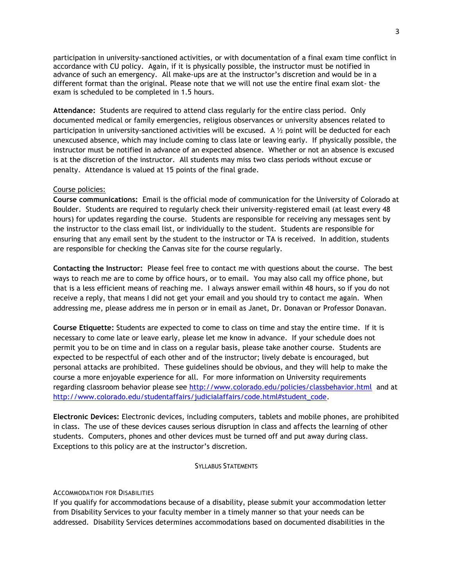participation in university-sanctioned activities, or with documentation of a final exam time conflict in accordance with CU policy. Again, if it is physically possible, the instructor must be notified in advance of such an emergency. All make-ups are at the instructor's discretion and would be in a different format than the original. Please note that we will not use the entire final exam slot- the exam is scheduled to be completed in 1.5 hours.

**Attendance:** Students are required to attend class regularly for the entire class period. Only documented medical or family emergencies, religious observances or university absences related to participation in university-sanctioned activities will be excused. A  $\frac{1}{2}$  point will be deducted for each unexcused absence, which may include coming to class late or leaving early. If physically possible, the instructor must be notified in advance of an expected absence. Whether or not an absence is excused is at the discretion of the instructor. All students may miss two class periods without excuse or penalty. Attendance is valued at 15 points of the final grade.

# Course policies:

**Course communications:** Email is the official mode of communication for the University of Colorado at Boulder. Students are required to regularly check their university-registered email (at least every 48 hours) for updates regarding the course. Students are responsible for receiving any messages sent by the instructor to the class email list, or individually to the student. Students are responsible for ensuring that any email sent by the student to the instructor or TA is received. In addition, students are responsible for checking the Canvas site for the course regularly.

**Contacting the Instructor:** Please feel free to contact me with questions about the course. The best ways to reach me are to come by office hours, or to email. You may also call my office phone, but that is a less efficient means of reaching me. I always answer email within 48 hours, so if you do not receive a reply, that means I did not get your email and you should try to contact me again. When addressing me, please address me in person or in email as Janet, Dr. Donavan or Professor Donavan.

**Course Etiquette:** Students are expected to come to class on time and stay the entire time. If it is necessary to come late or leave early, please let me know in advance. If your schedule does not permit you to be on time and in class on a regular basis, please take another course. Students are expected to be respectful of each other and of the instructor; lively debate is encouraged, but personal attacks are prohibited. These guidelines should be obvious, and they will help to make the course a more enjoyable experience for all. For more information on University requirements regarding classroom behavior please see<http://www.colorado.edu/policies/classbehavior.html> and at [http://www.colorado.edu/studentaffairs/judicialaffairs/code.html#student\\_code.](http://www.colorado.edu/studentaffairs/judicialaffairs/code.html#student_code)

**Electronic Devices:** Electronic devices, including computers, tablets and mobile phones, are prohibited in class. The use of these devices causes serious disruption in class and affects the learning of other students. Computers, phones and other devices must be turned off and put away during class. Exceptions to this policy are at the instructor's discretion.

### SYLLABUS STATEMENTS

### ACCOMMODATION FOR DISABILITIES

If you qualify for accommodations because of a disability, please submit your accommodation letter from Disability Services to your faculty member in a timely manner so that your needs can be addressed. Disability Services determines accommodations based on documented disabilities in the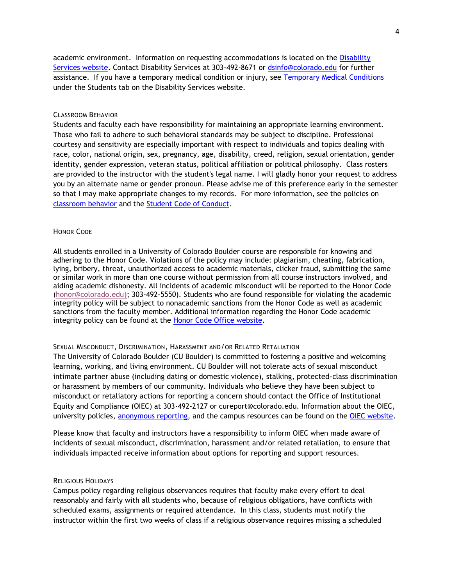academic environment. Information on requesting accommodations is located on the [Disability](http://www.colorado.edu/disabilityservices/students)  [Services website.](http://www.colorado.edu/disabilityservices/students) Contact Disability Services at 303-492-8671 or [dsinfo@colorado.edu](mailto:dsinfo@colorado.edu) for further assistance. If you have a temporary medical condition or injury, see [Temporary Medical Conditions](http://www.colorado.edu/disabilityservices/students/temporary-medical-conditions) under the Students tab on the Disability Services website.

#### CLASSROOM BEHAVIOR

Students and faculty each have responsibility for maintaining an appropriate learning environment. Those who fail to adhere to such behavioral standards may be subject to discipline. Professional courtesy and sensitivity are especially important with respect to individuals and topics dealing with race, color, national origin, sex, pregnancy, age, disability, creed, religion, sexual orientation, gender identity, gender expression, veteran status, political affiliation or political philosophy. Class rosters are provided to the instructor with the student's legal name. I will gladly honor your request to address you by an alternate name or gender pronoun. Please advise me of this preference early in the semester so that I may make appropriate changes to my records. For more information, see the policies on [classroom behavior](http://www.colorado.edu/policies/student-classroom-and-course-related-behavior) and the [Student Code of Conduct.](http://www.colorado.edu/osccr/)

# HONOR CODE

All students enrolled in a University of Colorado Boulder course are responsible for knowing and adhering to the Honor Code. Violations of the policy may include: plagiarism, cheating, fabrication, lying, bribery, threat, unauthorized access to academic materials, clicker fraud, submitting the same or similar work in more than one course without permission from all course instructors involved, and aiding academic dishonesty. All incidents of academic misconduct will be reported to the Honor Code [\(honor@colorado.edu\)](mailto:honor@colorado.edu); 303-492-5550). Students who are found responsible for violating the academic integrity policy will be subject to nonacademic sanctions from the Honor Code as well as academic sanctions from the faculty member. Additional information regarding the Honor Code academic integrity policy can be found at the [Honor Code Office website.](https://www.colorado.edu/osccr/honor-code)

## SEXUAL MISCONDUCT, DISCRIMINATION, HARASSMENT AND/OR RELATED RETALIATION

The University of Colorado Boulder (CU Boulder) is committed to fostering a positive and welcoming learning, working, and living environment. CU Boulder will not tolerate acts of sexual misconduct intimate partner abuse (including dating or domestic violence), stalking, protected-class discrimination or harassment by members of our community. Individuals who believe they have been subject to misconduct or retaliatory actions for reporting a concern should contact the Office of Institutional Equity and Compliance (OIEC) at 303-492-2127 or cureport@colorado.edu. Information about the OIEC, university policies, [anonymous reporting,](https://cuboulder.qualtrics.com/jfe/form/SV_0PnqVK4kkIJIZnf) and the campus resources can be found on the [OIEC website.](http://www.colorado.edu/institutionalequity/)

Please know that faculty and instructors have a responsibility to inform OIEC when made aware of incidents of sexual misconduct, discrimination, harassment and/or related retaliation, to ensure that individuals impacted receive information about options for reporting and support resources.

# RELIGIOUS HOLIDAYS

Campus policy regarding religious observances requires that faculty make every effort to deal reasonably and fairly with all students who, because of religious obligations, have conflicts with scheduled exams, assignments or required attendance. In this class, students must notify the instructor within the first two weeks of class if a religious observance requires missing a scheduled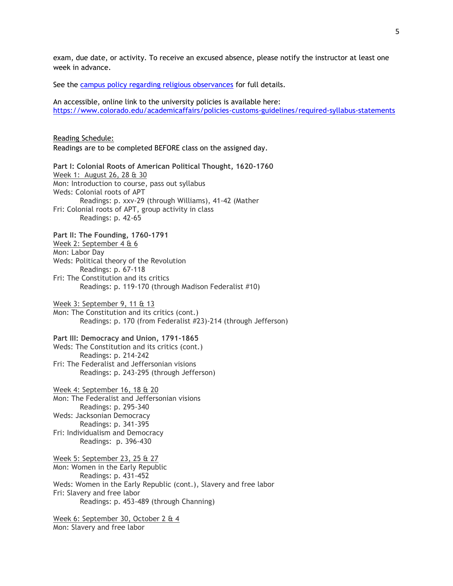exam, due date, or activity. To receive an excused absence, please notify the instructor at least one week in advance.

See the [campus policy regarding religious observances](http://www.colorado.edu/policies/observance-religious-holidays-and-absences-classes-andor-exams) for full details.

An accessible, online link to the university policies is available here: <https://www.colorado.edu/academicaffairs/policies-customs-guidelines/required-syllabus-statements>

Reading Schedule: Readings are to be completed BEFORE class on the assigned day. **Part I: Colonial Roots of American Political Thought, 1620-1760**

Week 1: August 26, 28 & 30 Mon: Introduction to course, pass out syllabus Weds: Colonial roots of APT Readings: p. xxv-29 (through Williams), 41-42 (Mather Fri: Colonial roots of APT, group activity in class Readings: p. 42-65 **Part II: The Founding, 1760-1791**

Week 2: September 4 & 6 Mon: Labor Day Weds: Political theory of the Revolution Readings: p. 67-118 Fri: The Constitution and its critics Readings: p. 119-170 (through Madison Federalist #10)

Week 3: September 9, 11 & 13 Mon: The Constitution and its critics (cont.) Readings: p. 170 (from Federalist #23)-214 (through Jefferson)

**Part III: Democracy and Union, 1791-1865**

Weds: The Constitution and its critics (cont.) Readings: p. 214-242 Fri: The Federalist and Jeffersonian visions Readings: p. 243-295 (through Jefferson)

Week 4: September 16, 18 & 20 Mon: The Federalist and Jeffersonian visions Readings: p. 295-340 Weds: Jacksonian Democracy Readings: p. 341-395 Fri: Individualism and Democracy Readings: p. 396-430

Week 5: September 23, 25 & 27 Mon: Women in the Early Republic Readings: p. 431-452 Weds: Women in the Early Republic (cont.), Slavery and free labor Fri: Slavery and free labor Readings: p. 453-489 (through Channing)

Week 6: September 30, October 2 & 4 Mon: Slavery and free labor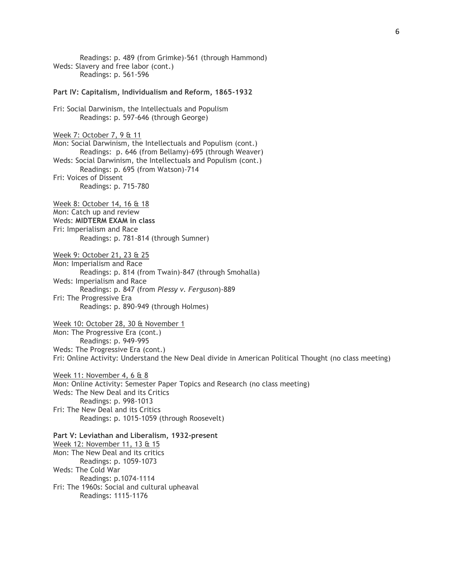Readings: p. 489 (from Grimke)-561 (through Hammond) Weds: Slavery and free labor (cont.) Readings: p. 561-596 **Part IV: Capitalism, Individualism and Reform, 1865-1932** Fri: Social Darwinism, the Intellectuals and Populism Readings: p. 597-646 (through George) Week 7: October 7, 9 & 11 Mon: Social Darwinism, the Intellectuals and Populism (cont.) Readings: p. 646 (from Bellamy)-695 (through Weaver) Weds: Social Darwinism, the Intellectuals and Populism (cont.) Readings: p. 695 (from Watson)-714 Fri: Voices of Dissent Readings: p. 715-780 Week 8: October 14, 16 & 18 Mon: Catch up and review Weds: **MIDTERM EXAM in class** Fri: Imperialism and Race Readings: p. 781-814 (through Sumner) Week 9: October 21, 23 & 25 Mon: Imperialism and Race Readings: p. 814 (from Twain)-847 (through Smohalla) Weds: Imperialism and Race Readings: p. 847 (from *Plessy v. Ferguson*)-889 Fri: The Progressive Era Readings: p. 890-949 (through Holmes) Week 10: October 28, 30 & November 1 Mon: The Progressive Era (cont.) Readings: p. 949-995 Weds: The Progressive Era (cont.) Fri: Online Activity: Understand the New Deal divide in American Political Thought (no class meeting) Week 11: November 4, 6 & 8 Mon: Online Activity: Semester Paper Topics and Research (no class meeting) Weds: The New Deal and its Critics Readings: p. 998-1013 Fri: The New Deal and its Critics Readings: p. 1015-1059 (through Roosevelt) **Part V: Leviathan and Liberalism, 1932-present** Week 12: November 11, 13 & 15 Mon: The New Deal and its critics Readings: p. 1059-1073 Weds: The Cold War Readings: p.1074-1114 Fri: The 1960s: Social and cultural upheaval Readings: 1115-1176